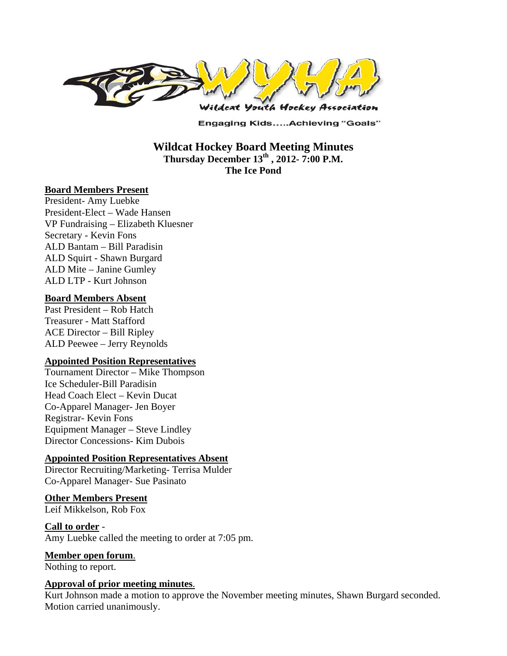

**Engaging Kids.....Achieving "Goals"** 

# **Wildcat Hockey Board Meeting Minutes**  Thursday December 13<sup>th</sup>, 2012- 7:00 P.M. **The Ice Pond**

### **Board Members Present**

President- Amy Luebke President-Elect – Wade Hansen VP Fundraising – Elizabeth Kluesner Secretary - Kevin Fons ALD Bantam – Bill Paradisin ALD Squirt - Shawn Burgard ALD Mite – Janine Gumley ALD LTP - Kurt Johnson

### **Board Members Absent**

Past President – Rob Hatch Treasurer - Matt Stafford ACE Director – Bill Ripley ALD Peewee – Jerry Reynolds

### **Appointed Position Representatives**

Tournament Director – Mike Thompson Ice Scheduler-Bill Paradisin Head Coach Elect – Kevin Ducat Co-Apparel Manager- Jen Boyer Registrar- Kevin Fons Equipment Manager – Steve Lindley Director Concessions- Kim Dubois

## **Appointed Position Representatives Absent**

Director Recruiting/Marketing- Terrisa Mulder Co-Apparel Manager- Sue Pasinato

### **Other Members Present**

Leif Mikkelson, Rob Fox

**Call to order** - Amy Luebke called the meeting to order at 7:05 pm.

**Member open forum**.

Nothing to report.

### **Approval of prior meeting minutes**.

Kurt Johnson made a motion to approve the November meeting minutes, Shawn Burgard seconded. Motion carried unanimously.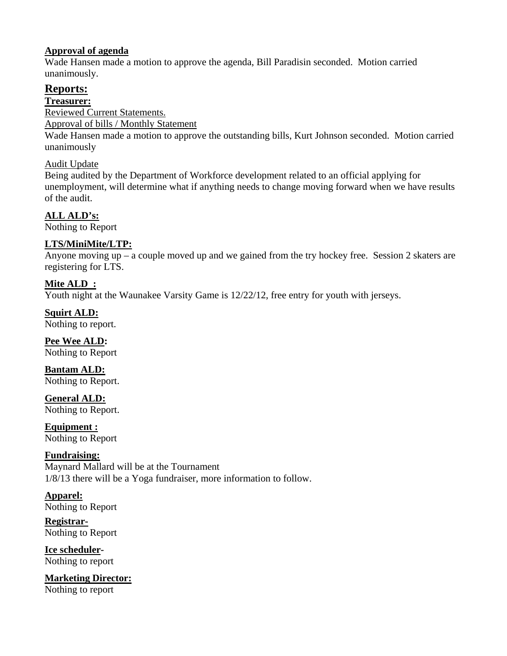## **Approval of agenda**

Wade Hansen made a motion to approve the agenda, Bill Paradisin seconded. Motion carried unanimously.

# **Reports:**

**Treasurer:** 

Reviewed Current Statements.

Approval of bills / Monthly Statement

Wade Hansen made a motion to approve the outstanding bills, Kurt Johnson seconded. Motion carried unanimously

# Audit Update

Being audited by the Department of Workforce development related to an official applying for unemployment, will determine what if anything needs to change moving forward when we have results of the audit.

# **ALL ALD's:**

Nothing to Report

# **LTS/MiniMite/LTP:**

Anyone moving up – a couple moved up and we gained from the try hockey free. Session 2 skaters are registering for LTS.

# **Mite ALD :**

Youth night at the Waunakee Varsity Game is  $12/22/12$ , free entry for youth with jerseys.

# **Squirt ALD:**

Nothing to report.

**Pee Wee ALD:**  Nothing to Report

**Bantam ALD:**  Nothing to Report.

**General ALD:**  Nothing to Report.

**Equipment :**  Nothing to Report

# **Fundraising:**

Maynard Mallard will be at the Tournament 1/8/13 there will be a Yoga fundraiser, more information to follow.

**Apparel:**  Nothing to Report

**Registrar-**Nothing to Report

**Ice scheduler-**Nothing to report

**Marketing Director:** Nothing to report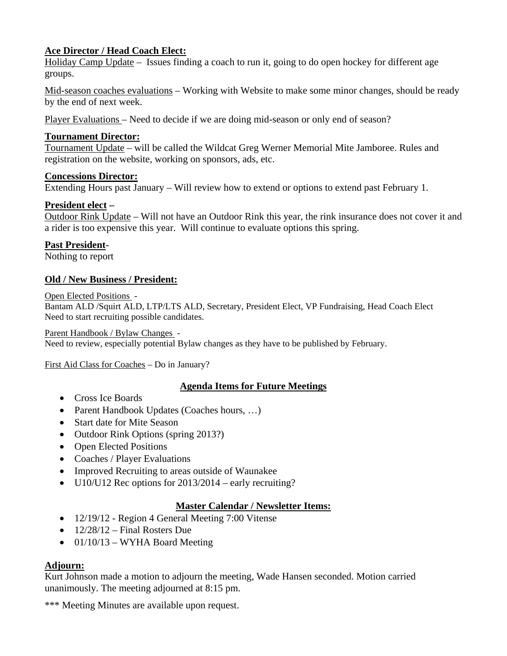# **Ace Director / Head Coach Elect:**

Holiday Camp Update – Issues finding a coach to run it, going to do open hockey for different age groups.

Mid-season coaches evaluations – Working with Website to make some minor changes, should be ready by the end of next week.

Player Evaluations – Need to decide if we are doing mid-season or only end of season?

## **Tournament Director:**

Tournament Update – will be called the Wildcat Greg Werner Memorial Mite Jamboree. Rules and registration on the website, working on sponsors, ads, etc.

### **Concessions Director:**

Extending Hours past January – Will review how to extend or options to extend past February 1.

## **President elect –**

Outdoor Rink Update – Will not have an Outdoor Rink this year, the rink insurance does not cover it and a rider is too expensive this year. Will continue to evaluate options this spring.

# **Past President-**

Nothing to report

# **Old / New Business / President:**

Open Elected Positions -

Bantam ALD /Squirt ALD, LTP/LTS ALD, Secretary, President Elect, VP Fundraising, Head Coach Elect Need to start recruiting possible candidates.

### Parent Handbook / Bylaw Changes -

Need to review, especially potential Bylaw changes as they have to be published by February.

First Aid Class for Coaches – Do in January?

# **Agenda Items for Future Meetings**

- Cross Ice Boards
- Parent Handbook Updates (Coaches hours, ...)
- Start date for Mite Season
- Outdoor Rink Options (spring 2013?)
- Open Elected Positions
- Coaches / Player Evaluations
- Improved Recruiting to areas outside of Waunakee
- $\bullet$  U10/U12 Rec options for 2013/2014 early recruiting?

### **Master Calendar / Newsletter Items:**

- 12/19/12 Region 4 General Meeting 7:00 Vitense
- $\bullet$  12/28/12 Final Rosters Due
- $\bullet$  01/10/13 WYHA Board Meeting

## **Adjourn:**

Kurt Johnson made a motion to adjourn the meeting, Wade Hansen seconded. Motion carried unanimously. The meeting adjourned at 8:15 pm.

\*\*\* Meeting Minutes are available upon request.